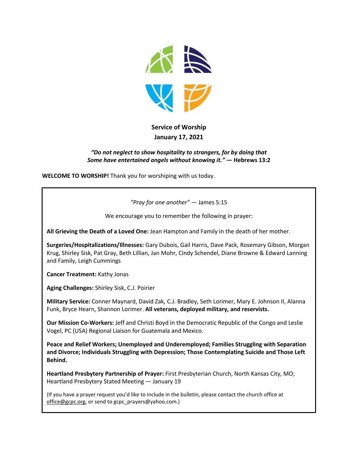

## **Service of Worship January 17, 2021**

#### *"Do not neglect to show hospitality to strangers, for by doing that Some have entertained angels without knowing it."* **— Hebrews 13:2**

**WELCOME TO WORSHIP!** Thank you for worshiping with us today.

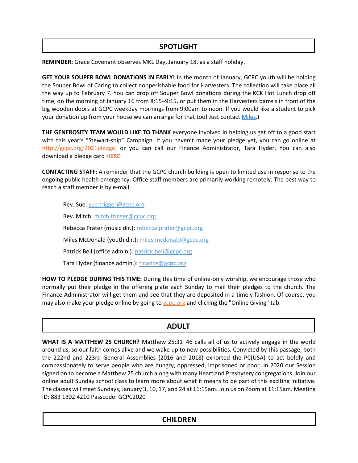## **SPOTLIGHT**

**REMINDER:** Grace Covenant observes MKL Day, January 18, as a staff holiday.

**GET YOUR SOUPER BOWL DONATIONS IN EARLY!** In the month of January, GCPC youth will be holding the Souper Bowl of Caring to collect nonperishable food for Harvesters. The collection will take place all the way up to February 7. You can drop off Souper Bowl donations during the KCK Hot Lunch drop off time, on the morning of January 16 from 8:15–9:15, or put them in the Harvesters barrels in front of the big wooden doors at GCPC weekday mornings from 9:00am to noon. If you would like a student to pick your donation up from your house we can arrange for that too! Just contact [Miles.](mailto:miles.mcdonald@gcpc.org))

**THE GENEROSITY TEAM WOULD LIKE TO THANK** everyone involved in helping us get off to a good start with this year's "Stewart-ship" Campaign. If you haven't made your pledge yet, you can go online at [http://gcpc.org/2021pledge,](https://t.e2ma.net/click/0sw63e/8mprdig/sqpd0u) or you can call our Finance Administrator, Tara Hyder. You can also download a pledge card **[HERE](https://t.e2ma.net/click/0sw63e/8mprdig/8iqd0u)**.

**CONTACTING STAFF:** A reminder that the GCPC church building is open to limited use in response to the ongoing public health emergency. Office staff members are primarily working remotely. The best way to reach a staff member is by e-mail:

Rev. Sue: [sue.trigger@gcpc.org](mailto:sue.trigger@gcpc.org) Rev. Mitch: [mitch.trigger@gcpc.org](mailto:mitch.trigger@gcpc.org) Rebecca Prater (music dir.): [rebecca.prater@gcpc.org](mailto:rebecca.prater@gcpc.org) Miles McDonald (youth dir.): [miles.mcdonald@gcpc.org](mailto:miles.mcdonald@gcpc.org) Patrick Bell (office admin.): [patrick.bell@gcpc.org](mailto:patrick.bell@gcpc.org) Tara Hyder (finance admin.): [finance@gcpc.org](mailto:finance@gcpc.org)

**HOW TO PLEDGE DURING THIS TIME:** During this time of online-only worship, we encourage those who normally put their pledge in the offering plate each Sunday to mail their pledges to the church. The Finance Administrator will get them and see that they are deposited in a timely fashion. Of course, you may also make your pledge online by going to [gcpc.org](https://gcpc.org/about-us/donate.html) and clicking the "Online Giving" tab.

# **ADULT**

**WHAT IS A MATTHEW 25 CHURCH?** Matthew 25:31–46 calls all of us to actively engage in the world around us, so our faith comes alive and we wake up to new possibilities. Convicted by this passage, both the 222nd and 223rd General Assemblies (2016 and 2018) exhorted the PC(USA) to act boldly and compassionately to serve people who are hungry, oppressed, imprisoned or poor. In 2020 our Session signed on to become a Matthew 25 church along with many Heartland Presbytery congregations. Join our online adult Sunday school class to learn more about what it means to be part of this exciting initiative. The classes will meet Sundays, January 3, 10, 17, and 24 at 11:15am. Join us on Zoom at 11:15am. Meeting ID: 883 1302 4210 Passcode: GCPC2020

### **CHILDREN**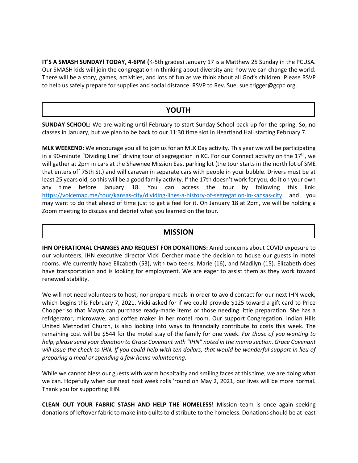**IT'S A SMASH SUNDAY! TODAY, 4-6PM (**K-5th grades) January 17 is a Matthew 25 Sunday in the PCUSA. Our SMASH kids will join the congregation in thinking about diversity and how we can change the world. There will be a story, games, activities, and lots of fun as we think about all God's children. Please RSVP to help us safely prepare for supplies and social distance. RSVP to Rev. Sue, sue.trigger@gcpc.org.

## **YOUTH**

**SUNDAY SCHOOL:** We are waiting until February to start Sunday School back up for the spring. So, no classes in January, but we plan to be back to our 11:30 time slot in Heartland Hall starting February 7.

**MLK WEEKEND:** We encourage you all to join us for an MLK Day activity. This year we will be participating in a 90-minute "Dividing Line" driving tour of segregation in KC. For our Connect activity on the 17<sup>th</sup>, we will gather at 2pm in cars at the Shawnee Mission East parking lot (the tour starts in the north lot of SME that enters off 75th St.) and will caravan in separate cars with people in your bubble. Drivers must be at least 25 years old, so this will be a good family activity. If the 17th doesn't work for you, do it on your own any time before January 18. You can access the tour by following this link: <https://voicemap.me/tour/kansas-city/dividing-lines-a-history-of-segregation-in-kansas-city> and you may want to do that ahead of time just to get a feel for it. On January 18 at 2pm, we will be holding a Zoom meeting to discuss and debrief what you learned on the tour.

## **MISSION**

**IHN OPERATIONAL CHANGES AND REQUEST FOR DONATIONS:** Amid concerns about COVID exposure to our volunteers, IHN executive director Vicki Dercher made the decision to house our guests in motel rooms. We currently have Elizabeth (53), with two teens, Marie (16), and Madilyn (15). Elizabeth does have transportation and is looking for employment. We are eager to assist them as they work toward renewed stability.

We will not need volunteers to host, nor prepare meals in order to avoid contact for our next IHN week, which begins this February 7, 2021. Vicki asked for if we could provide \$125 toward a gift card to Price Chopper so that Mayra can purchase ready-made items or those needing little preparation. She has a refrigerator, microwave, and coffee maker in her motel room. Our support Congregation, Indian Hills United Methodist Church, is also looking into ways to financially contribute to costs this week. The remaining cost will be \$544 for the motel stay of the family for one week. *For those of you wanting to help, please send your donation to Grace Covenant with "IHN" noted in the memo section. Grace Covenant will issue the check to IHN. If you could help with ten dollars, that would be wonderful support in lieu of preparing a meal or spending a few hours volunteering.* 

While we cannot bless our guests with warm hospitality and smiling faces at this time, we are doing what we can. Hopefully when our next host week rolls 'round on May 2, 2021, our lives will be more normal. Thank you for supporting IHN.

**CLEAN OUT YOUR FABRIC STASH AND HELP THE HOMELESS!** Mission team is once again seeking donations of leftover fabric to make into quilts to distribute to the homeless. Donations should be at least